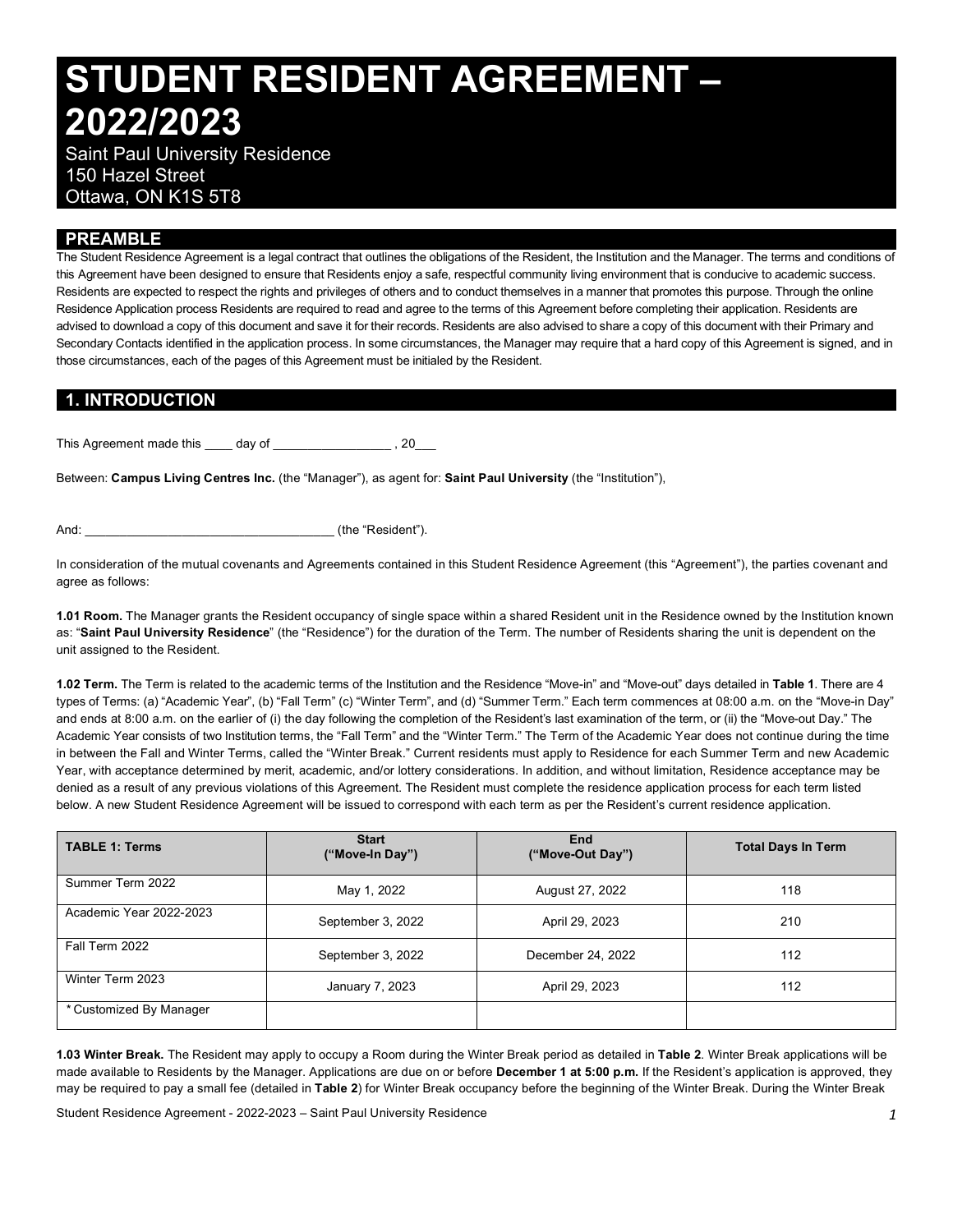# **STUDENT RESIDENT AGREEMENT – 2022/2023**

 Saint Paul University Residence 150 Hazel Street Ottawa, ON K1S 5T8

## **PREAMBLE**

 The Student Residence Agreement is a legal contract that outlines the obligations of the Resident, the Institution and the Manager. The terms and conditions of this Agreement have been designed to ensure that Residents enjoy a safe, respectful community living environment that is conducive to academic success. Residents are expected to respect the rights and privileges of others and to conduct themselves in a manner that promotes this purpose. Through the online Residence Application process Residents are required to read and agree to the terms of this Agreement before completing their application. Residents are advised to download a copy of this document and save it for their records. Residents are also advised to share a copy of this document with their Primary and Secondary Contacts identified in the application process. In some circumstances, the Manager may require that a hard copy of this Agreement is signed, and in those circumstances, each of the pages of this Agreement must be initialed by the Resident.

## **1. INTRODUCTION**

This Agreement made this day of this Agreement made this day of

 Between: **Campus Living Centres Inc.** (the "Manager"), as agent for: **Saint Paul University** (the "Institution"),

And:  $\qquad \qquad$  (the "Resident").

 In consideration of the mutual covenants and Agreements contained in this Student Residence Agreement (this "Agreement"), the parties covenant and agree as follows:

 **1.01 Room.** The Manager grants the Resident occupancy of single space within a shared Resident unit in the Residence owned by the Institution known  as: "**Saint Paul University Residence**" (the "Residence") for the duration of the Term. The number of Residents sharing the unit is dependent on the unit assigned to the Resident.

 **1.02 Term.** The Term is related to the academic terms of the Institution and the Residence "Move-in" and "Move-out" days detailed in **Table 1**. There are 4 types of Terms: (a) "Academic Year", (b) "Fall Term" (c) "Winter Term", and (d) "Summer Term." Each term commences at 08:00 a.m. on the "Move-in Day" and ends at 8:00 a.m. on the earlier of (i) the day following the completion of the Resident's last examination of the term, or (ii) the "Move-out Day." The Academic Year consists of two Institution terms, the "Fall Term" and the "Winter Term." The Term of the Academic Year does not continue during the time in between the Fall and Winter Terms, called the "Winter Break." Current residents must apply to Residence for each Summer Term and new Academic Year, with acceptance determined by merit, academic, and/or lottery considerations. In addition, and without limitation, Residence acceptance may be denied as a result of any previous violations of this Agreement. The Resident must complete the residence application process for each term listed below. A new Student Residence Agreement will be issued to correspond with each term as per the Resident's current residence application.

| <b>TABLE 1: Terms</b>   | <b>Start</b><br>("Move-In Day") | End<br>("Move-Out Day") | <b>Total Days In Term</b> |  |
|-------------------------|---------------------------------|-------------------------|---------------------------|--|
| Summer Term 2022        | May 1, 2022                     | August 27, 2022         | 118                       |  |
| Academic Year 2022-2023 | September 3, 2022               | April 29, 2023          | 210                       |  |
| Fall Term 2022          | September 3, 2022               | December 24, 2022       | 112                       |  |
| Winter Term 2023        | January 7, 2023                 | April 29, 2023          | 112                       |  |
| * Customized By Manager |                                 |                         |                           |  |

 **1.03 Winter Break.** The Resident may apply to occupy a Room during the Winter Break period as detailed in **Table 2**. Winter Break applications will be made available to Residents by the Manager. Applications are due on or before **December 1 at 5:00 p.m.** If the Resident's application is approved, they may be required to pay a small fee (detailed in **Table 2**) for Winter Break occupancy before the beginning of the Winter Break. During the Winter Break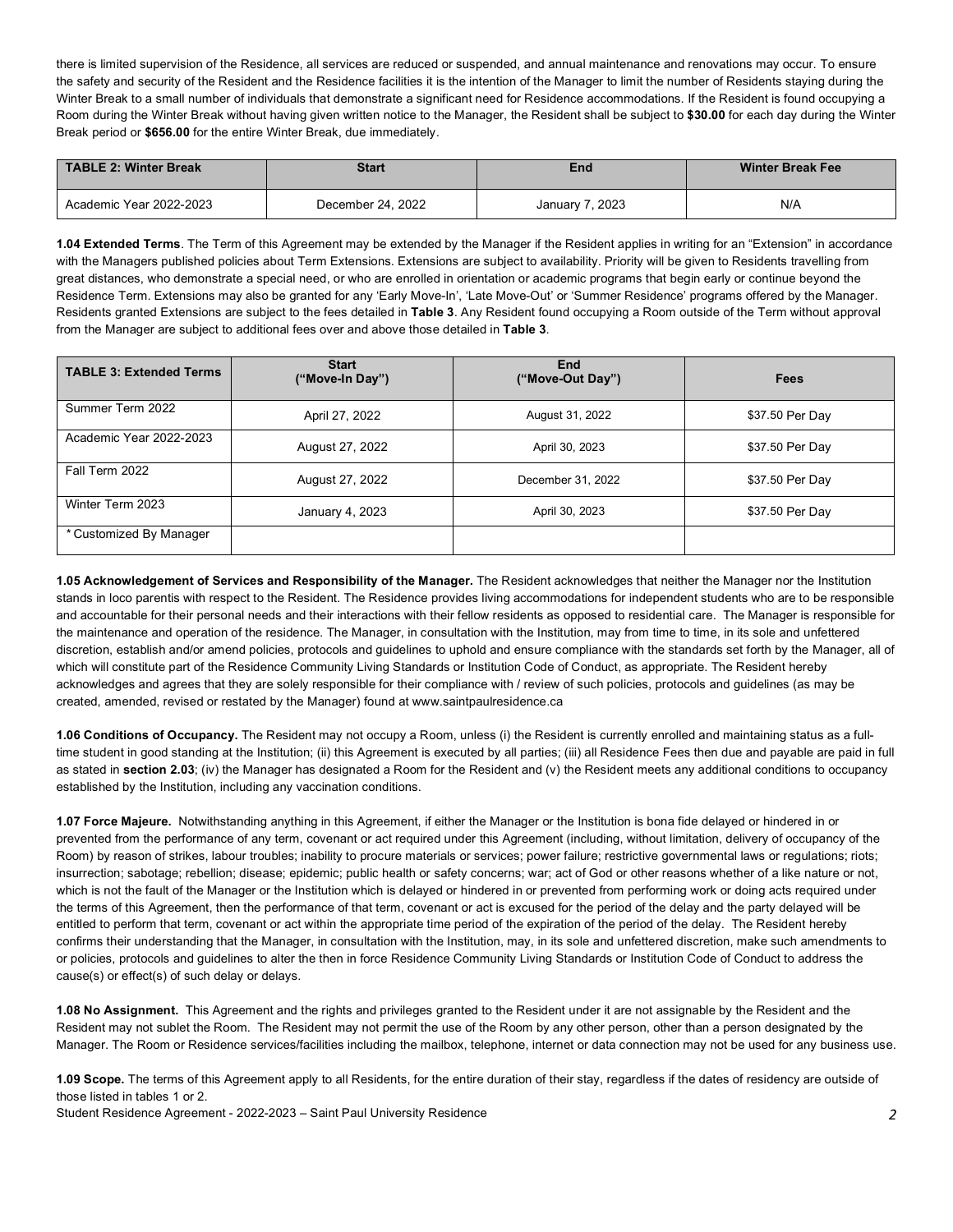there is limited supervision of the Residence, all services are reduced or suspended, and annual maintenance and renovations may occur. To ensure the safety and security of the Resident and the Residence facilities it is the intention of the Manager to limit the number of Residents staying during the Winter Break to a small number of individuals that demonstrate a significant need for Residence accommodations. If the Resident is found occupying a Room during the Winter Break without having given written notice to the Manager, the Resident shall be subject to **\$30.00** for each day during the Winter Break period or **\$656.00** for the entire Winter Break, due immediately.

| TABLE 2: Winter Break<br><b>Start</b> |                   | End             | <b>Winter Break Fee</b> |  |
|---------------------------------------|-------------------|-----------------|-------------------------|--|
| Academic Year 2022-2023               | December 24, 2022 | January 7, 2023 | N/A                     |  |

 **1.04 Extended Terms**. The Term of this Agreement may be extended by the Manager if the Resident applies in writing for an "Extension" in accordance with the Managers published policies about Term Extensions. Extensions are subject to availability. Priority will be given to Residents travelling from great distances, who demonstrate a special need, or who are enrolled in orientation or academic programs that begin early or continue beyond the Residence Term. Extensions may also be granted for any 'Early Move-In', 'Late Move-Out' or 'Summer Residence' programs offered by the Manager. Residents granted Extensions are subject to the fees detailed in **Table 3**. Any Resident found occupying a Room outside of the Term without approval from the Manager are subject to additional fees over and above those detailed in **Table 3**.

| <b>TABLE 3: Extended Terms</b> | <b>Start</b><br>("Move-In Day") | End<br>("Move-Out Day") | Fees            |
|--------------------------------|---------------------------------|-------------------------|-----------------|
| Summer Term 2022               | April 27, 2022                  | August 31, 2022         | \$37.50 Per Day |
| Academic Year 2022-2023        | August 27, 2022                 | April 30, 2023          | \$37.50 Per Day |
| Fall Term 2022                 | August 27, 2022                 | December 31, 2022       | \$37.50 Per Day |
| Winter Term 2023               | January 4, 2023                 | April 30, 2023          | \$37.50 Per Day |
| * Customized By Manager        |                                 |                         |                 |

 **1.05 Acknowledgement of Services and Responsibility of the Manager.** The Resident acknowledges that neither the Manager nor the Institution stands in loco parentis with respect to the Resident. The Residence provides living accommodations for independent students who are to be responsible and accountable for their personal needs and their interactions with their fellow residents as opposed to residential care. The Manager is responsible for the maintenance and operation of the residence. The Manager, in consultation with the Institution, may from time to time, in its sole and unfettered discretion, establish and/or amend policies, protocols and guidelines to uphold and ensure compliance with the standards set forth by the Manager, all of which will constitute part of the Residence Community Living Standards or Institution Code of Conduct, as appropriate. The Resident hereby acknowledges and agrees that they are solely responsible for their compliance with / review of such policies, protocols and guidelines (as may be created, amended, revised or restated by the Manager) found at<www.saintpaulresidence.ca>

 **1.06 Conditions of Occupancy.** The Resident may not occupy a Room, unless (i) the Resident is currently enrolled and maintaining status as a full- time student in good standing at the Institution; (ii) this Agreement is executed by all parties; (iii) all Residence Fees then due and payable are paid in full as stated in **section 2.03**; (iv) the Manager has designated a Room for the Resident and (v) the Resident meets any additional conditions to occupancy established by the Institution, including any vaccination conditions.

 **1.07 Force Majeure.** Notwithstanding anything in this Agreement, if either the Manager or the Institution is bona fide delayed or hindered in or prevented from the performance of any term, covenant or act required under this Agreement (including, without limitation, delivery of occupancy of the Room) by reason of strikes, labour troubles; inability to procure materials or services; power failure; restrictive governmental laws or regulations; riots; insurrection; sabotage; rebellion; disease; epidemic; public health or safety concerns; war; act of God or other reasons whether of a like nature or not, which is not the fault of the Manager or the Institution which is delayed or hindered in or prevented from performing work or doing acts required under the terms of this Agreement, then the performance of that term, covenant or act is excused for the period of the delay and the party delayed will be entitled to perform that term, covenant or act within the appropriate time period of the expiration of the period of the delay. The Resident hereby confirms their understanding that the Manager, in consultation with the Institution, may, in its sole and unfettered discretion, make such amendments to or policies, protocols and guidelines to alter the then in force Residence Community Living Standards or Institution Code of Conduct to address the cause(s) or effect(s) of such delay or delays.

 **1.08 No Assignment.** This Agreement and the rights and privileges granted to the Resident under it are not assignable by the Resident and the Resident may not sublet the Room. The Resident may not permit the use of the Room by any other person, other than a person designated by the Manager. The Room or Residence services/facilities including the mailbox, telephone, internet or data connection may not be used for any business use.

 **1.09 Scope.** The terms of this Agreement apply to all Residents, for the entire duration of their stay, regardless if the dates of residency are outside of those listed in tables 1 or 2.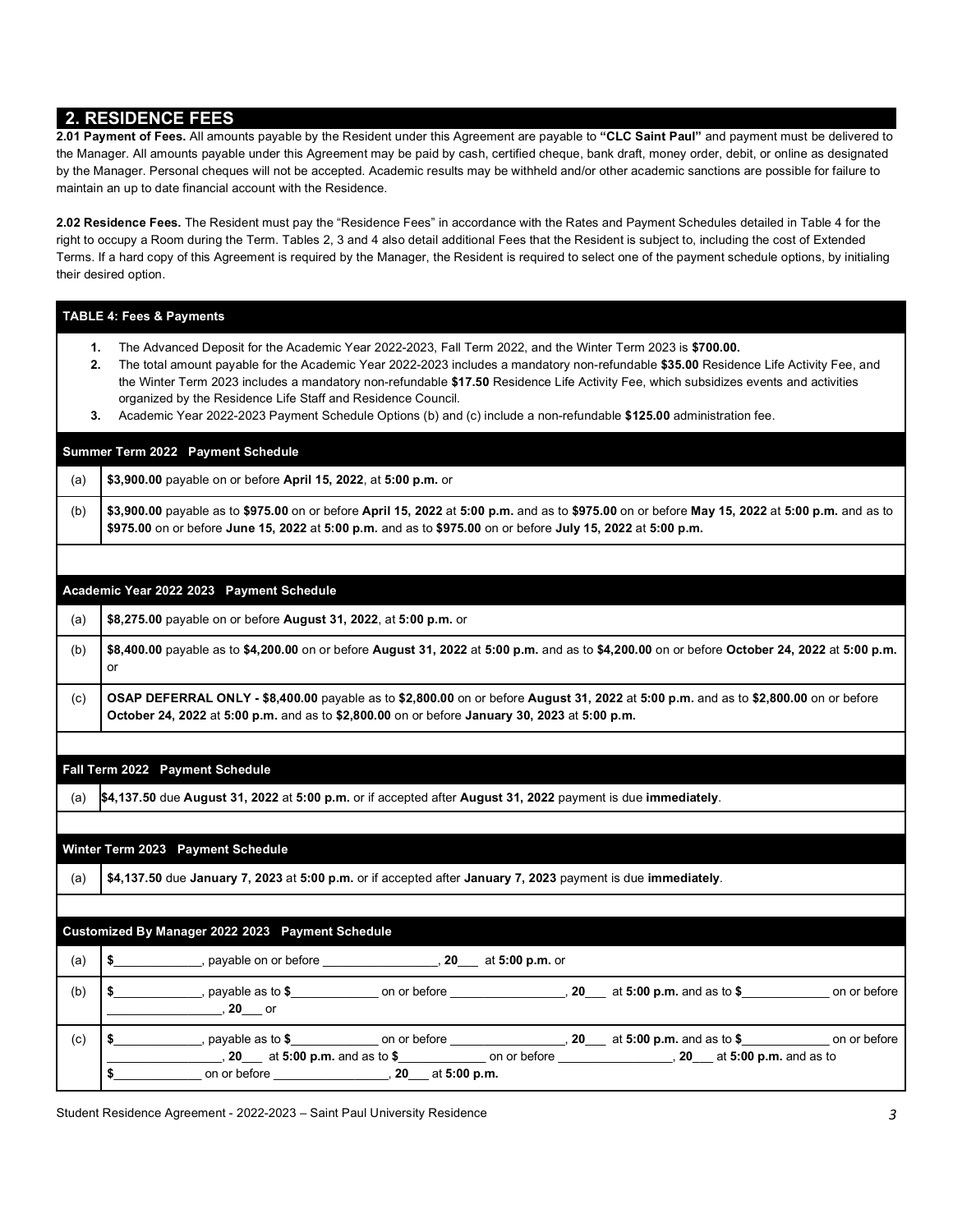## **2. RESIDENCE FEES**

 the Manager. All amounts payable under this Agreement may be paid by cash, certified cheque, bank draft, money order, debit, or online as designated by the Manager. Personal cheques will not be accepted. Academic results may be withheld and/or other academic sanctions are possible for failure to maintain an up to date financial account with the Residence. **2.01 Payment of Fees.** All amounts payable by the Resident under this Agreement are payable to **"CLC Saint Paul"** and payment must be delivered to

 **2.02 Residence Fees.** The Resident must pay the "Residence Fees" in accordance with the Rates and Payment Schedules detailed in Table 4 for the right to occupy a Room during the Term. Tables 2, 3 and 4 also detail additional Fees that the Resident is subject to, including the cost of Extended Terms. If a hard copy of this Agreement is required by the Manager, the Resident is required to select one of the payment schedule options, by initialing their desired option.

#### **TABLE 4: Fees & Payments**

- **1.** The Advanced Deposit for the Academic Year 2022-2023, Fall Term 2022, and the Winter Term 2023 is **\$700.00.**
- **2.** The total amount payable for the Academic Year 2022-2023 includes a mandatory non-refundable **\$35.00** Residence Life Activity Fee, and the Winter Term 2023 includes a mandatory non-refundable **\$17.50** Residence Life Activity Fee, which subsidizes events and activities organized by the Residence Life Staff and Residence Council.
- **3.** Academic Year 2022-2023 Payment Schedule Options (b) and (c) include a non-refundable **\$125.00** administration fee.

#### **- Summer Term 2022 Payment Schedule**

(a) **\$3,900.00** payable on or before **April 15, 2022**, at **5:00 p.m.** or

 (b) **\$3,900.00** payable as to **\$975.00** on or before **April 15, 2022** at **5:00 p.m.** and as to **\$975.00** on or before **May 15, 2022** at **5:00 p.m.** and as to **\$975.00** on or before **June 15, 2022** at **5:00 p.m.** and as to **\$975.00** on or before **July 15, 2022** at **5:00 p.m.** 

#### **- - Academic Year 2022 2023 Payment Schedule**

(a) **\$8,275.00** payable on or before **August 31, 2022**, at **5:00 p.m.** or

 (b) **\$8,400.00** payable as to **\$4,200.00** on or before **August 31, 2022** at **5:00 p.m.** and as to **\$4,200.00** on or before **October 24, 2022** at **5:00 p.m.**  or

 (c) **OSAP DEFERRAL ONLY - \$8,400.00** payable as to **\$2,800.00** on or before **August 31, 2022** at **5:00 p.m.** and as to **\$2,800.00** on or before **October 24, 2022** at **5:00 p.m.** and as to **\$2,800.00** on or before **January 30, 2023** at **5:00 p.m.** 

## **- Fall Term 2022 Payment Schedule**

(a) **\$4,137.50** due **August 31, 2022** at **5:00 p.m.** or if accepted after **August 31, 2022** payment is due **immediately**.

## **- Winter Term 2023 Payment Schedule**

(a) **\$4,137.50** due **January 7, 2023** at **5:00 p.m.** or if accepted after **January 7, 2023** payment is due **immediately**.

## **- - Customized By Manager 2022 2023 Payment Schedule**

| (a) | payable on or before<br>20<br>at 5:00 p.m. or                                                                                                                                                             |
|-----|-----------------------------------------------------------------------------------------------------------------------------------------------------------------------------------------------------------|
| (b) | , payable as to $\$$<br>on or before<br>on or before<br>20 at 5:00 p.m. and as to \$<br><b>20</b> or                                                                                                      |
| (c) | payable as to $$$<br>at 5:00 p.m. and as to \$<br>on or before<br>on or before<br>20<br>at 5:00 p.m. and as to \$<br>$20$ at 5:00 p.m. and as to<br>20<br>on or before<br>on or before<br>20 at 5:00 p.m. |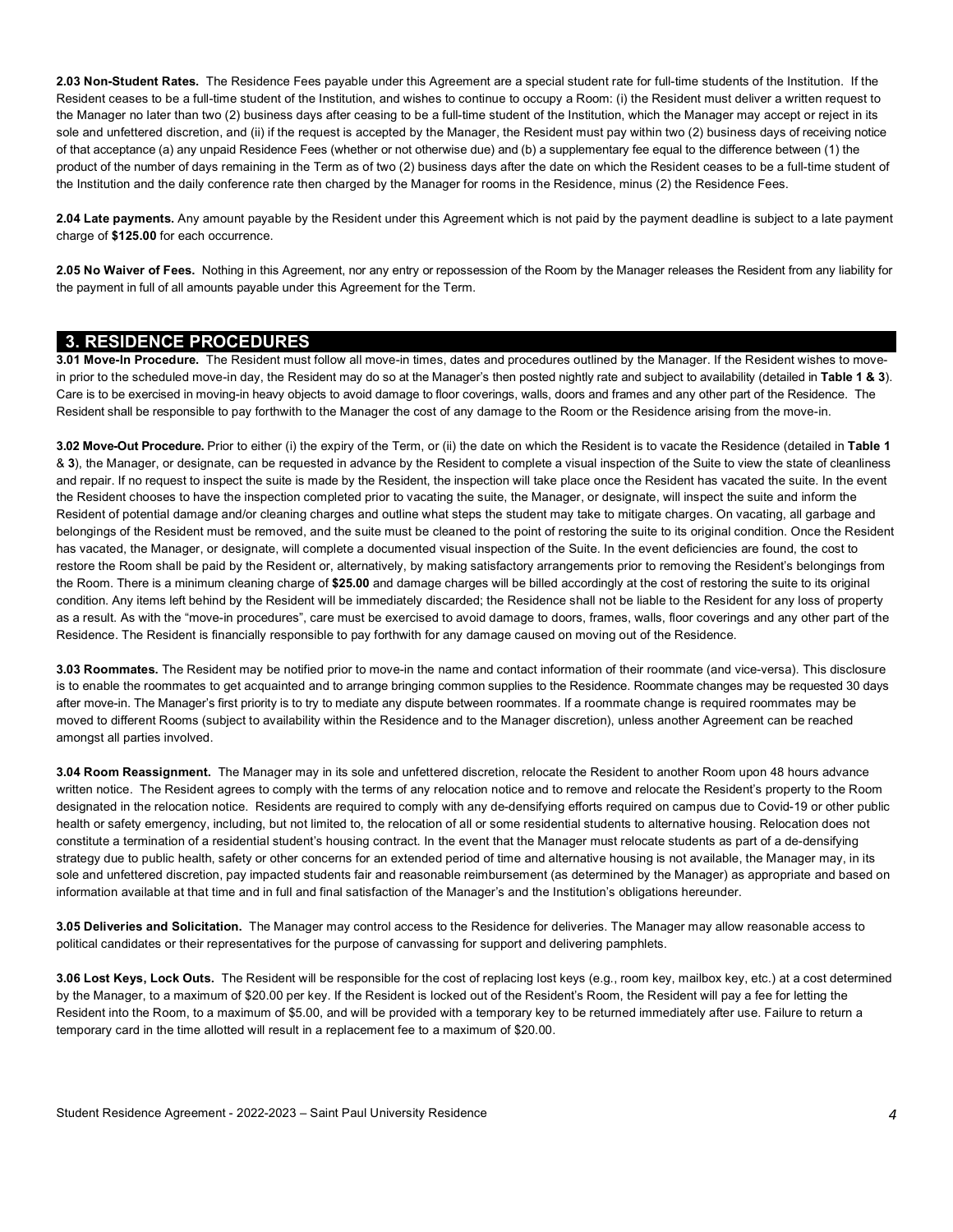**2.03 Non-Student Rates.** The Residence Fees payable under this Agreement are a special student rate for full-time students of the Institution. If the Resident ceases to be a full-time student of the Institution, and wishes to continue to occupy a Room: (i) the Resident must deliver a written request to the Manager no later than two (2) business days after ceasing to be a full-time student of the Institution, which the Manager may accept or reject in its sole and unfettered discretion, and (ii) if the request is accepted by the Manager, the Resident must pay within two (2) business days of receiving notice of that acceptance (a) any unpaid Residence Fees (whether or not otherwise due) and (b) a supplementary fee equal to the difference between (1) the product of the number of days remaining in the Term as of two (2) business days after the date on which the Resident ceases to be a full-time student of the Institution and the daily conference rate then charged by the Manager for rooms in the Residence, minus (2) the Residence Fees.

 **2.04 Late payments.** Any amount payable by the Resident under this Agreement which is not paid by the payment deadline is subject to a late payment charge of **\$125.00** for each occurrence.

 **2.05 No Waiver of Fees.** Nothing in this Agreement, nor any entry or repossession of the Room by the Manager releases the Resident from any liability for the payment in full of all amounts payable under this Agreement for the Term.

## **3. RESIDENCE PROCEDURES**

 **3.01 Move-In Procedure.** The Resident must follow all move-in times, dates and procedures outlined by the Manager. If the Resident wishes to move- in prior to the scheduled move-in day, the Resident may do so at the Manager's then posted nightly rate and subject to availability (detailed in **Table 1 & 3**). Care is to be exercised in moving-in heavy objects to avoid damage to floor coverings, walls, doors and frames and any other part of the Residence. The Resident shall be responsible to pay forthwith to the Manager the cost of any damage to the Room or the Residence arising from the move-in.

 **3.02 Move-Out Procedure.** Prior to either (i) the expiry of the Term, or (ii) the date on which the Resident is to vacate the Residence (detailed in **Table 1**  & **3**), the Manager, or designate, can be requested in advance by the Resident to complete a visual inspection of the Suite to view the state of cleanliness and repair. If no request to inspect the suite is made by the Resident, the inspection will take place once the Resident has vacated the suite. In the event the Resident chooses to have the inspection completed prior to vacating the suite, the Manager, or designate, will inspect the suite and inform the Resident of potential damage and/or cleaning charges and outline what steps the student may take to mitigate charges. On vacating, all garbage and belongings of the Resident must be removed, and the suite must be cleaned to the point of restoring the suite to its original condition. Once the Resident has vacated, the Manager, or designate, will complete a documented visual inspection of the Suite. In the event deficiencies are found, the cost to restore the Room shall be paid by the Resident or, alternatively, by making satisfactory arrangements prior to removing the Resident's belongings from the Room. There is a minimum cleaning charge of **\$25.00** and damage charges will be billed accordingly at the cost of restoring the suite to its original condition. Any items left behind by the Resident will be immediately discarded; the Residence shall not be liable to the Resident for any loss of property as a result. As with the "move-in procedures", care must be exercised to avoid damage to doors, frames, walls, floor coverings and any other part of the Residence. The Resident is financially responsible to pay forthwith for any damage caused on moving out of the Residence.

 **3.03 Roommates.** The Resident may be notified prior to move-in the name and contact information of their roommate (and vice-versa). This disclosure is to enable the roommates to get acquainted and to arrange bringing common supplies to the Residence. Roommate changes may be requested 30 days after move-in. The Manager's first priority is to try to mediate any dispute between roommates. If a roommate change is required roommates may be moved to different Rooms (subject to availability within the Residence and to the Manager discretion), unless another Agreement can be reached amongst all parties involved.

 **3.04 Room Reassignment.** The Manager may in its sole and unfettered discretion, relocate the Resident to another Room upon 48 hours advance written notice. The Resident agrees to comply with the terms of any relocation notice and to remove and relocate the Resident's property to the Room designated in the relocation notice. Residents are required to comply with any de-densifying efforts required on campus due to Covid-19 or other public health or safety emergency, including, but not limited to, the relocation of all or some residential students to alternative housing. Relocation does not constitute a termination of a residential student's housing contract. In the event that the Manager must relocate students as part of a de-densifying strategy due to public health, safety or other concerns for an extended period of time and alternative housing is not available, the Manager may, in its sole and unfettered discretion, pay impacted students fair and reasonable reimbursement (as determined by the Manager) as appropriate and based on information available at that time and in full and final satisfaction of the Manager's and the Institution's obligations hereunder.

 **3.05 Deliveries and Solicitation.** The Manager may control access to the Residence for deliveries. The Manager may allow reasonable access to political candidates or their representatives for the purpose of canvassing for support and delivering pamphlets.

 **3.06 Lost Keys, Lock Outs.** The Resident will be responsible for the cost of replacing lost keys (e.g., room key, mailbox key, etc.) at a cost determined by the Manager, to a maximum of \$20.00 per key. If the Resident is locked out of the Resident's Room, the Resident will pay a fee for letting the Resident into the Room, to a maximum of \$5.00, and will be provided with a temporary key to be returned immediately after use. Failure to return a temporary card in the time allotted will result in a replacement fee to a maximum of \$20.00.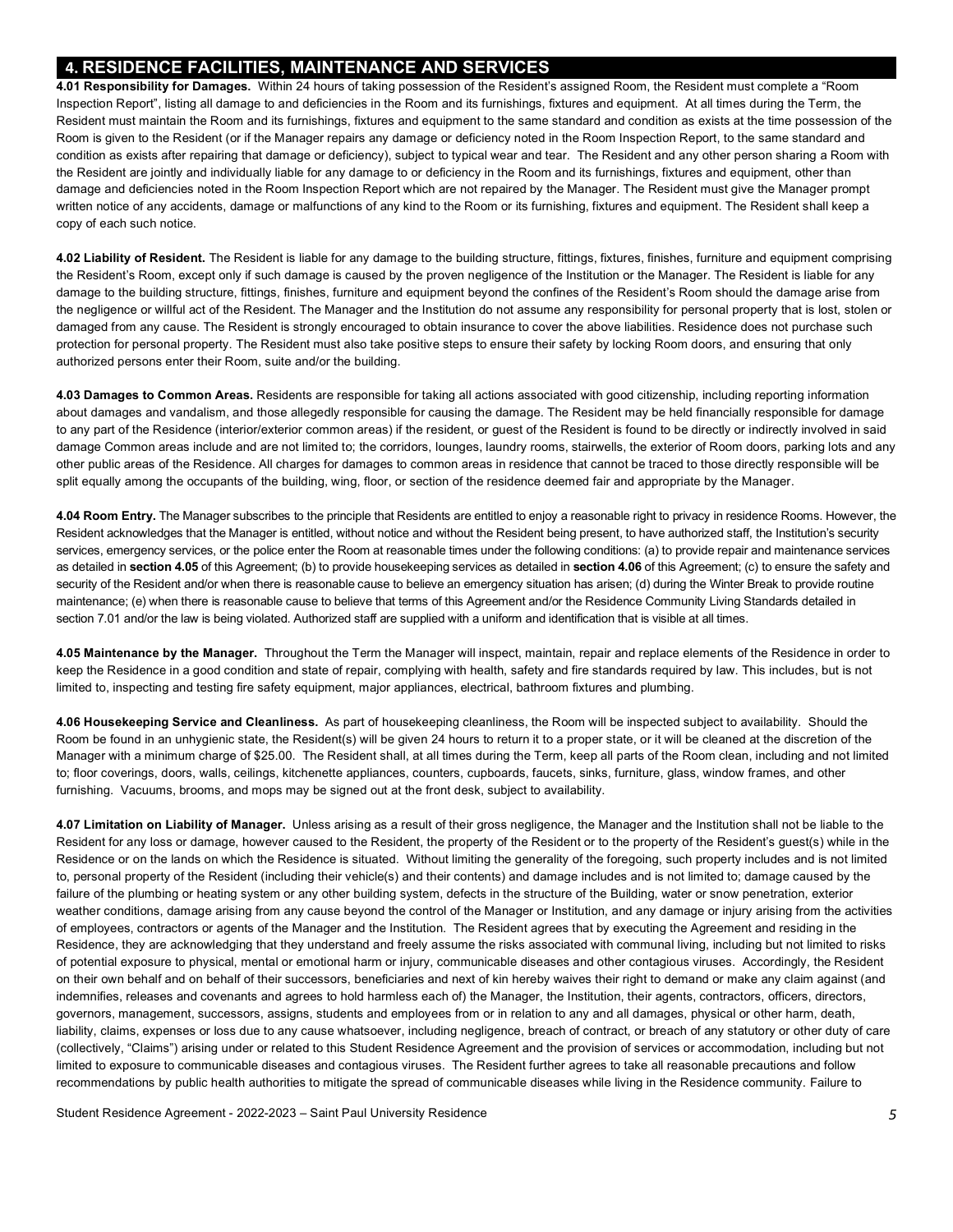## **4. RESIDENCE FACILITIES, MAINTENANCE AND SERVICES**

 **4.01 Responsibility for Damages.** Within 24 hours of taking possession of the Resident's assigned Room, the Resident must complete a "Room Inspection Report", listing all damage to and deficiencies in the Room and its furnishings, fixtures and equipment. At all times during the Term, the Resident must maintain the Room and its furnishings, fixtures and equipment to the same standard and condition as exists at the time possession of the Room is given to the Resident (or if the Manager repairs any damage or deficiency noted in the Room Inspection Report, to the same standard and condition as exists after repairing that damage or deficiency), subject to typical wear and tear. The Resident and any other person sharing a Room with the Resident are jointly and individually liable for any damage to or deficiency in the Room and its furnishings, fixtures and equipment, other than damage and deficiencies noted in the Room Inspection Report which are not repaired by the Manager. The Resident must give the Manager prompt written notice of any accidents, damage or malfunctions of any kind to the Room or its furnishing, fixtures and equipment. The Resident shall keep a copy of each such notice.

 **4.02 Liability of Resident.** The Resident is liable for any damage to the building structure, fittings, fixtures, finishes, furniture and equipment comprising the Resident's Room, except only if such damage is caused by the proven negligence of the Institution or the Manager. The Resident is liable for any damage to the building structure, fittings, finishes, furniture and equipment beyond the confines of the Resident's Room should the damage arise from the negligence or willful act of the Resident. The Manager and the Institution do not assume any responsibility for personal property that is lost, stolen or damaged from any cause. The Resident is strongly encouraged to obtain insurance to cover the above liabilities. Residence does not purchase such protection for personal property. The Resident must also take positive steps to ensure their safety by locking Room doors, and ensuring that only authorized persons enter their Room, suite and/or the building.

 **4.03 Damages to Common Areas.** Residents are responsible for taking all actions associated with good citizenship, including reporting information about damages and vandalism, and those allegedly responsible for causing the damage. The Resident may be held financially responsible for damage to any part of the Residence (interior/exterior common areas) if the resident, or guest of the Resident is found to be directly or indirectly involved in said damage Common areas include and are not limited to; the corridors, lounges, laundry rooms, stairwells, the exterior of Room doors, parking lots and any other public areas of the Residence. All charges for damages to common areas in residence that cannot be traced to those directly responsible will be split equally among the occupants of the building, wing, floor, or section of the residence deemed fair and appropriate by the Manager.

 **4.04 Room Entry.** The Manager subscribes to the principle that Residents are entitled to enjoy a reasonable right to privacy in residence Rooms. However, the Resident acknowledges that the Manager is entitled, without notice and without the Resident being present, to have authorized staff, the Institution's security services, emergency services, or the police enter the Room at reasonable times under the following conditions: (a) to provide repair and maintenance services as detailed in **section 4.05** of this Agreement; (b) to provide housekeeping services as detailed in **section 4.06** of this Agreement; (c) to ensure the safety and security of the Resident and/or when there is reasonable cause to believe an emergency situation has arisen; (d) during the Winter Break to provide routine maintenance; (e) when there is reasonable cause to believe that terms of this Agreement and/or the Residence Community Living Standards detailed in section 7.01 and/or the law is being violated. Authorized staff are supplied with a uniform and identification that is visible at all times.

 **4.05 Maintenance by the Manager.** Throughout the Term the Manager will inspect, maintain, repair and replace elements of the Residence in order to keep the Residence in a good condition and state of repair, complying with health, safety and fire standards required by law. This includes, but is not limited to, inspecting and testing fire safety equipment, major appliances, electrical, bathroom fixtures and plumbing.

 **4.06 Housekeeping Service and Cleanliness.** As part of housekeeping cleanliness, the Room will be inspected subject to availability. Should the Room be found in an unhygienic state, the Resident(s) will be given 24 hours to return it to a proper state, or it will be cleaned at the discretion of the Manager with a minimum charge of \$25.00. The Resident shall, at all times during the Term, keep all parts of the Room clean, including and not limited to; floor coverings, doors, walls, ceilings, kitchenette appliances, counters, cupboards, faucets, sinks, furniture, glass, window frames, and other furnishing. Vacuums, brooms, and mops may be signed out at the front desk, subject to availability.

 **4.07 Limitation on Liability of Manager.** Unless arising as a result of their gross negligence, the Manager and the Institution shall not be liable to the Resident for any loss or damage, however caused to the Resident, the property of the Resident or to the property of the Resident's guest(s) while in the Residence or on the lands on which the Residence is situated. Without limiting the generality of the foregoing, such property includes and is not limited to, personal property of the Resident (including their vehicle(s) and their contents) and damage includes and is not limited to; damage caused by the failure of the plumbing or heating system or any other building system, defects in the structure of the Building, water or snow penetration, exterior weather conditions, damage arising from any cause beyond the control of the Manager or Institution, and any damage or injury arising from the activities of employees, contractors or agents of the Manager and the Institution. The Resident agrees that by executing the Agreement and residing in the Residence, they are acknowledging that they understand and freely assume the risks associated with communal living, including but not limited to risks of potential exposure to physical, mental or emotional harm or injury, communicable diseases and other contagious viruses. Accordingly, the Resident on their own behalf and on behalf of their successors, beneficiaries and next of kin hereby waives their right to demand or make any claim against (and indemnifies, releases and covenants and agrees to hold harmless each of) the Manager, the Institution, their agents, contractors, officers, directors, governors, management, successors, assigns, students and employees from or in relation to any and all damages, physical or other harm, death, liability, claims, expenses or loss due to any cause whatsoever, including negligence, breach of contract, or breach of any statutory or other duty of care (collectively, "Claims") arising under or related to this Student Residence Agreement and the provision of services or accommodation, including but not limited to exposure to communicable diseases and contagious viruses. The Resident further agrees to take all reasonable precautions and follow recommendations by public health authorities to mitigate the spread of communicable diseases while living in the Residence community. Failure to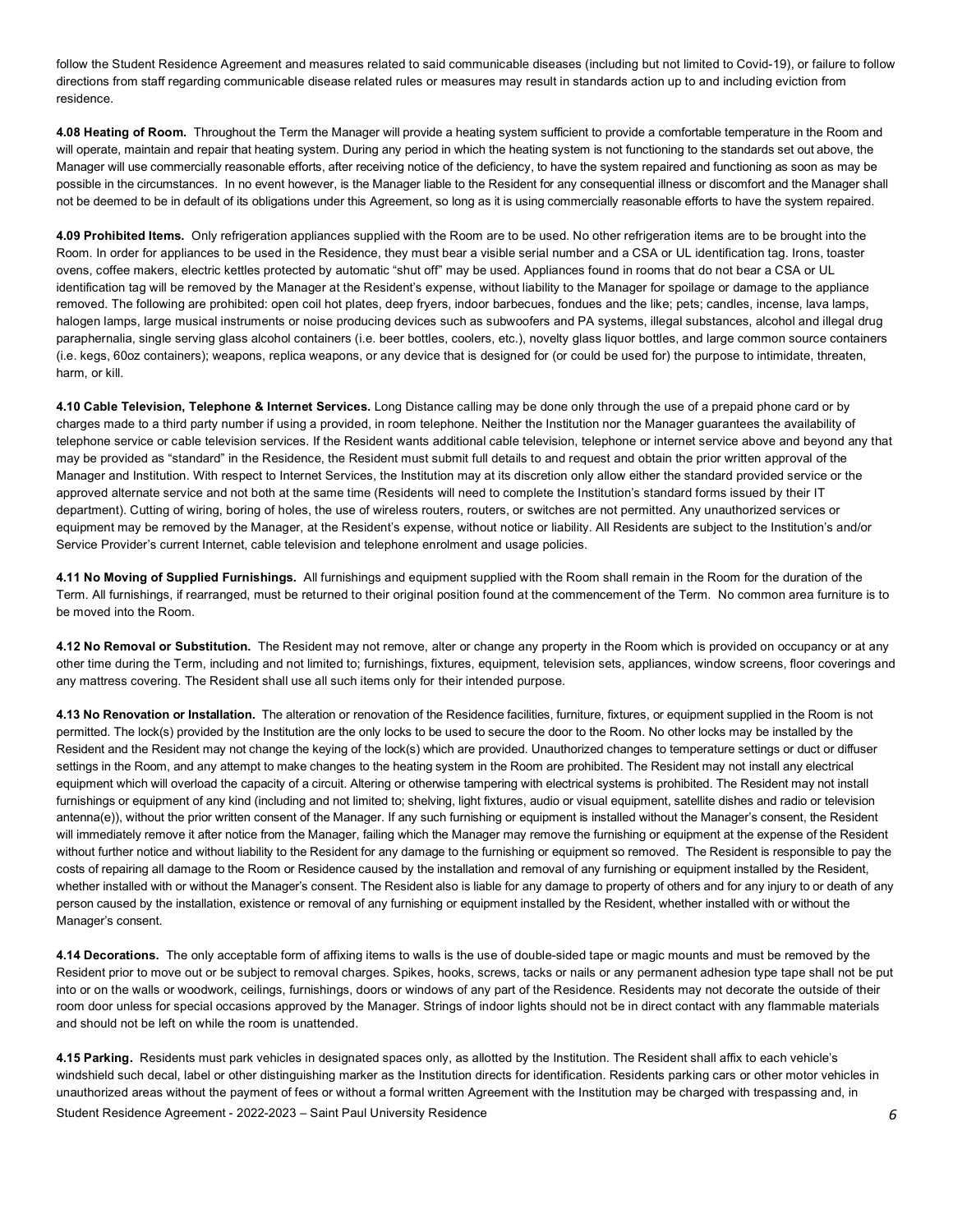follow the Student Residence Agreement and measures related to said communicable diseases (including but not limited to Covid-19), or failure to follow directions from staff regarding communicable disease related rules or measures may result in standards action up to and including eviction from residence.

 **4.08 Heating of Room.** Throughout the Term the Manager will provide a heating system sufficient to provide a comfortable temperature in the Room and will operate, maintain and repair that heating system. During any period in which the heating system is not functioning to the standards set out above, the Manager will use commercially reasonable efforts, after receiving notice of the deficiency, to have the system repaired and functioning as soon as may be possible in the circumstances. In no event however, is the Manager liable to the Resident for any consequential illness or discomfort and the Manager shall not be deemed to be in default of its obligations under this Agreement, so long as it is using commercially reasonable efforts to have the system repaired.

 **4.09 Prohibited Items.** Only refrigeration appliances supplied with the Room are to be used. No other refrigeration items are to be brought into the Room. In order for appliances to be used in the Residence, they must bear a visible serial number and a CSA or UL identification tag. Irons, toaster ovens, coffee makers, electric kettles protected by automatic "shut off" may be used. Appliances found in rooms that do not bear a CSA or UL identification tag will be removed by the Manager at the Resident's expense, without liability to the Manager for spoilage or damage to the appliance removed. The following are prohibited: open coil hot plates, deep fryers, indoor barbecues, fondues and the like; pets; candles, incense, lava lamps, halogen lamps, large musical instruments or noise producing devices such as subwoofers and PA systems, illegal substances, alcohol and illegal drug paraphernalia, single serving glass alcohol containers (i.e. beer bottles, coolers, etc.), novelty glass liquor bottles, and large common source containers (i.e. kegs, 60oz containers); weapons, replica weapons, or any device that is designed for (or could be used for) the purpose to intimidate, threaten, harm, or kill.

 **4.10 Cable Television, Telephone & Internet Services***.* Long Distance calling may be done only through the use of a prepaid phone card or by charges made to a third party number if using a provided, in room telephone. Neither the Institution nor the Manager guarantees the availability of telephone service or cable television services. If the Resident wants additional cable television, telephone or internet service above and beyond any that may be provided as "standard" in the Residence, the Resident must submit full details to and request and obtain the prior written approval of the Manager and Institution. With respect to Internet Services, the Institution may at its discretion only allow either the standard provided service or the approved alternate service and not both at the same time (Residents will need to complete the Institution's standard forms issued by their IT department). Cutting of wiring, boring of holes, the use of wireless routers, routers, or switches are not permitted. Any unauthorized services or equipment may be removed by the Manager, at the Resident's expense, without notice or liability. All Residents are subject to the Institution's and/or Service Provider's current Internet, cable television and telephone enrolment and usage policies.

 **4.11 No Moving of Supplied Furnishings.** All furnishings and equipment supplied with the Room shall remain in the Room for the duration of the Term. All furnishings, if rearranged, must be returned to their original position found at the commencement of the Term. No common area furniture is to be moved into the Room.

 **4.12 No Removal or Substitution.** The Resident may not remove, alter or change any property in the Room which is provided on occupancy or at any other time during the Term, including and not limited to; furnishings, fixtures, equipment, television sets, appliances, window screens, floor coverings and any mattress covering. The Resident shall use all such items only for their intended purpose.

 **4.13 No Renovation or Installation.** The alteration or renovation of the Residence facilities, furniture, fixtures, or equipment supplied in the Room is not permitted. The lock(s) provided by the Institution are the only locks to be used to secure the door to the Room. No other locks may be installed by the Resident and the Resident may not change the keying of the lock(s) which are provided. Unauthorized changes to temperature settings or duct or diffuser settings in the Room, and any attempt to make changes to the heating system in the Room are prohibited. The Resident may not install any electrical equipment which will overload the capacity of a circuit. Altering or otherwise tampering with electrical systems is prohibited. The Resident may not install antenna(e)), without the prior written consent of the Manager. If any such furnishing or equipment is installed without the Manager's consent, the Resident will immediately remove it after notice from the Manager, failing which the Manager may remove the furnishing or equipment at the expense of the Resident without further notice and without liability to the Resident for any damage to the furnishing or equipment so removed. The Resident is responsible to pay the costs of repairing all damage to the Room or Residence caused by the installation and removal of any furnishing or equipment installed by the Resident, whether installed with or without the Manager's consent. The Resident also is liable for any damage to property of others and for any injury to or death of any person caused by the installation, existence or removal of any furnishing or equipment installed by the Resident, whether installed with or without the Manager's consent. furnishings or equipment of any kind (including and not limited to; shelving, light fixtures, audio or visual equipment, satellite dishes and radio or television

 **4.14 Decorations.** The only acceptable form of affixing items to walls is the use of double-sided tape or magic mounts and must be removed by the Resident prior to move out or be subject to removal charges. Spikes, hooks, screws, tacks or nails or any permanent adhesion type tape shall not be put into or on the walls or woodwork, ceilings, furnishings, doors or windows of any part of the Residence. Residents may not decorate the outside of their room door unless for special occasions approved by the Manager. Strings of indoor lights should not be in direct contact with any flammable materials and should not be left on while the room is unattended.

 Student Residence Agreement - 2022-2023 – Saint Paul University Residence *6*  **4.15 Parking.** Residents must park vehicles in designated spaces only, as allotted by the Institution. The Resident shall affix to each vehicle's windshield such decal, label or other distinguishing marker as the Institution directs for identification. Residents parking cars or other motor vehicles in unauthorized areas without the payment of fees or without a formal written Agreement with the Institution may be charged with trespassing and, in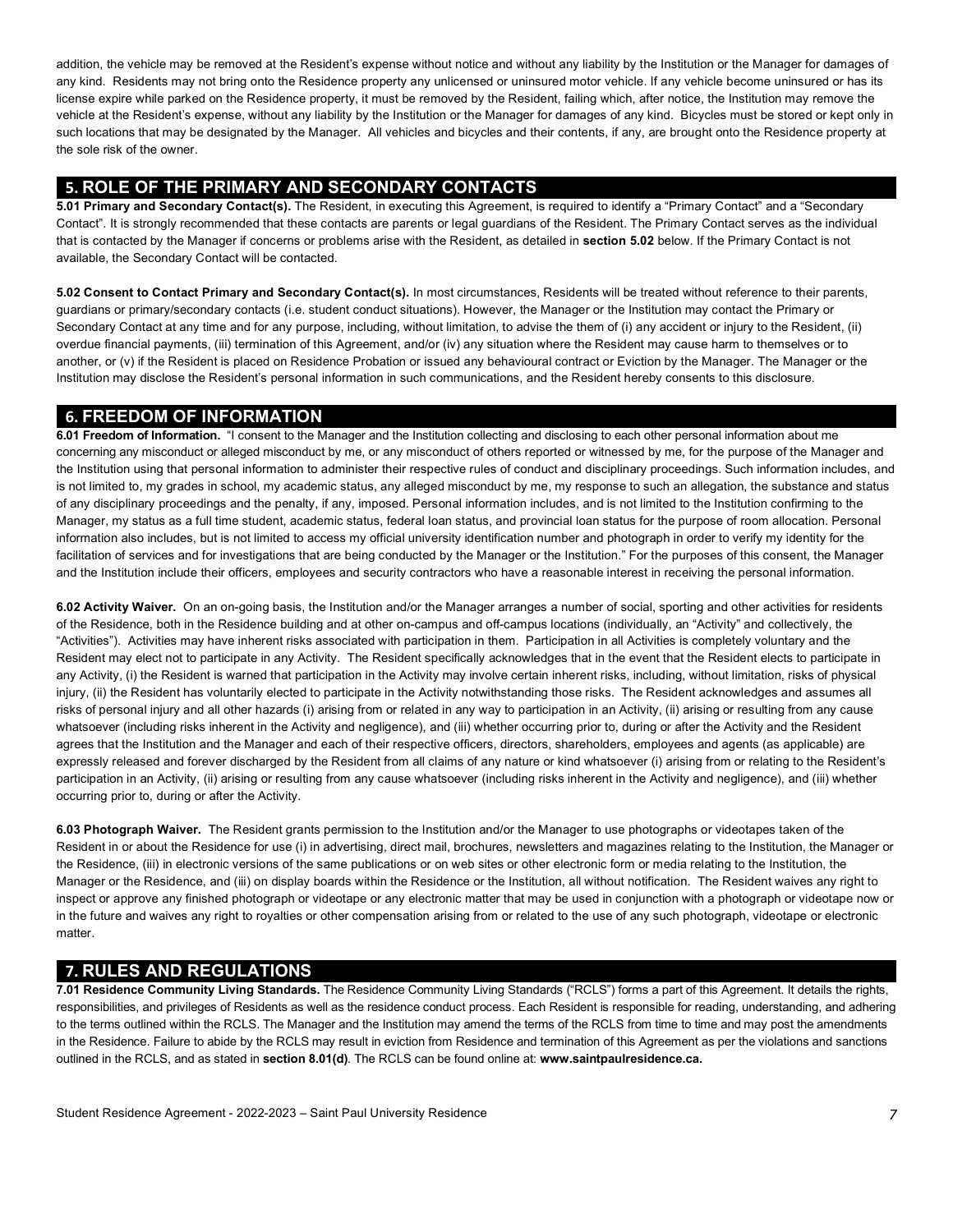addition, the vehicle may be removed at the Resident's expense without notice and without any liability by the Institution or the Manager for damages of any kind. Residents may not bring onto the Residence property any unlicensed or uninsured motor vehicle. If any vehicle become uninsured or has its license expire while parked on the Residence property, it must be removed by the Resident, failing which, after notice, the Institution may remove the vehicle at the Resident's expense, without any liability by the Institution or the Manager for damages of any kind. Bicycles must be stored or kept only in such locations that may be designated by the Manager. All vehicles and bicycles and their contents, if any, are brought onto the Residence property at the sole risk of the owner.

## **5. ROLE OF THE PRIMARY AND SECONDARY CONTACTS**

 **5.01 Primary and Secondary Contact(s).** The Resident, in executing this Agreement, is required to identify a "Primary Contact" and a "Secondary Contact". It is strongly recommended that these contacts are parents or legal guardians of the Resident. The Primary Contact serves as the individual that is contacted by the Manager if concerns or problems arise with the Resident, as detailed in **section 5.02** below. If the Primary Contact is not available, the Secondary Contact will be contacted.

 **5.02 Consent to Contact Primary and Secondary Contact(s).** In most circumstances, Residents will be treated without reference to their parents, guardians or primary/secondary contacts (i.e. student conduct situations). However, the Manager or the Institution may contact the Primary or Secondary Contact at any time and for any purpose, including, without limitation, to advise the them of (i) any accident or injury to the Resident, (ii) overdue financial payments, (iii) termination of this Agreement, and/or (iv) any situation where the Resident may cause harm to themselves or to another, or (v) if the Resident is placed on Residence Probation or issued any behavioural contract or Eviction by the Manager. The Manager or the Institution may disclose the Resident's personal information in such communications, and the Resident hereby consents to this disclosure.

## **6. FREEDOM OF INFORMATION**

 **6.01 Freedom of Information.** "I consent to the Manager and the Institution collecting and disclosing to each other personal information about me concerning any misconduct or alleged misconduct by me, or any misconduct of others reported or witnessed by me, for the purpose of the Manager and the Institution using that personal information to administer their respective rules of conduct and disciplinary proceedings. Such information includes, and is not limited to, my grades in school, my academic status, any alleged misconduct by me, my response to such an allegation, the substance and status of any disciplinary proceedings and the penalty, if any, imposed. Personal information includes, and is not limited to the Institution confirming to the Manager, my status as a full time student, academic status, federal loan status, and provincial loan status for the purpose of room allocation. Personal information also includes, but is not limited to access my official university identification number and photograph in order to verify my identity for the facilitation of services and for investigations that are being conducted by the Manager or the Institution." For the purposes of this consent, the Manager and the Institution include their officers, employees and security contractors who have a reasonable interest in receiving the personal information.

 **6.02 Activity Waiver.** On an on-going basis, the Institution and/or the Manager arranges a number of social, sporting and other activities for residents of the Residence, both in the Residence building and at other on-campus and off-campus locations (individually, an "Activity" and collectively, the "Activities"). Activities may have inherent risks associated with participation in them. Participation in all Activities is completely voluntary and the Resident may elect not to participate in any Activity. The Resident specifically acknowledges that in the event that the Resident elects to participate in any Activity, (i) the Resident is warned that participation in the Activity may involve certain inherent risks, including, without limitation, risks of physical injury, (ii) the Resident has voluntarily elected to participate in the Activity notwithstanding those risks. The Resident acknowledges and assumes all risks of personal injury and all other hazards (i) arising from or related in any way to participation in an Activity, (ii) arising or resulting from any cause whatsoever (including risks inherent in the Activity and negligence), and (iii) whether occurring prior to, during or after the Activity and the Resident agrees that the Institution and the Manager and each of their respective officers, directors, shareholders, employees and agents (as applicable) are expressly released and forever discharged by the Resident from all claims of any nature or kind whatsoever (i) arising from or relating to the Resident's participation in an Activity, (ii) arising or resulting from any cause whatsoever (including risks inherent in the Activity and negligence), and (iii) whether occurring prior to, during or after the Activity.

 **6.03 Photograph Waiver.** The Resident grants permission to the Institution and/or the Manager to use photographs or videotapes taken of the Resident in or about the Residence for use (i) in advertising, direct mail, brochures, newsletters and magazines relating to the Institution, the Manager or the Residence, (iii) in electronic versions of the same publications or on web sites or other electronic form or media relating to the Institution, the Manager or the Residence, and (iii) on display boards within the Residence or the Institution, all without notification. The Resident waives any right to inspect or approve any finished photograph or videotape or any electronic matter that may be used in conjunction with a photograph or videotape now or in the future and waives any right to royalties or other compensation arising from or related to the use of any such photograph, videotape or electronic matter.

# **7. RULES AND REGULATIONS**

 responsibilities, and privileges of Residents as well as the residence conduct process. Each Resident is responsible for reading, understanding, and adhering to the terms outlined within the RCLS. The Manager and the Institution may amend the terms of the RCLS from time to time and may post the amendments in the Residence. Failure to abide by the RCLS may result in eviction from Residence and termination of this Agreement as per the violations and sanctions outlined in the RCLS, and as stated in **section 8.01(d)**. The RCLS can be found online at: **<www.saintpaulresidence.ca>. 7.01 Residence Community Living Standards.** The Residence Community Living Standards ("RCLS") forms a part of this Agreement. It details the rights,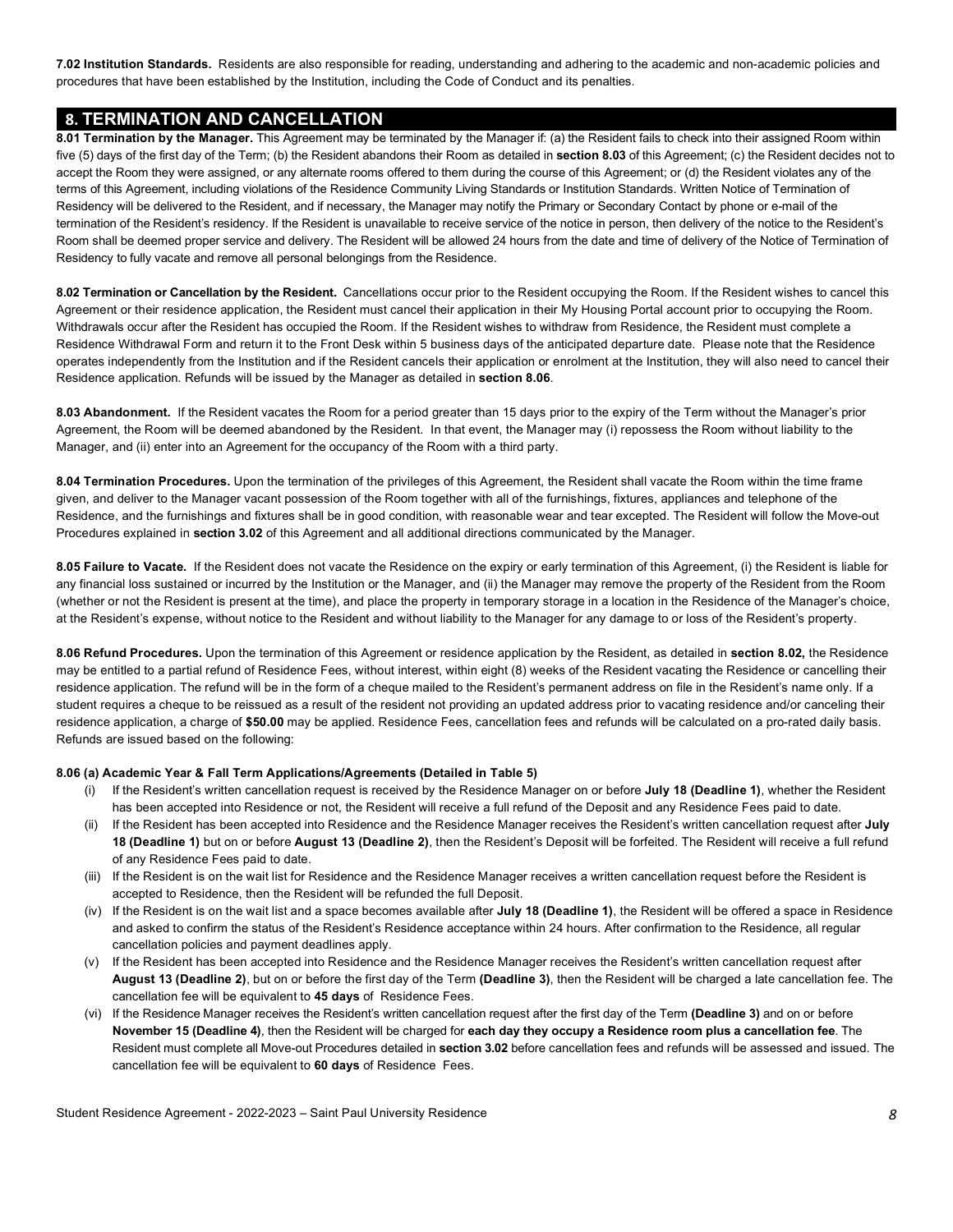**7.02 Institution Standards.** Residents are also responsible for reading, understanding and adhering to the academic and non-academic policies and procedures that have been established by the Institution, including the Code of Conduct and its penalties.

## **8. TERMINATION AND CANCELLATION**

 **8.01 Termination by the Manager.** This Agreement may be terminated by the Manager if: (a) the Resident fails to check into their assigned Room within five (5) days of the first day of the Term; (b) the Resident abandons their Room as detailed in **section 8.03** of this Agreement; (c) the Resident decides not to accept the Room they were assigned, or any alternate rooms offered to them during the course of this Agreement; or (d) the Resident violates any of the terms of this Agreement, including violations of the Residence Community Living Standards or Institution Standards. Written Notice of Termination of Residency will be delivered to the Resident, and if necessary, the Manager may notify the Primary or Secondary Contact by phone or e-mail of the termination of the Resident's residency. If the Resident is unavailable to receive service of the notice in person, then delivery of the notice to the Resident's Room shall be deemed proper service and delivery. The Resident will be allowed 24 hours from the date and time of delivery of the Notice of Termination of Residency to fully vacate and remove all personal belongings from the Residence.

 **8.02 Termination or Cancellation by the Resident.** Cancellations occur prior to the Resident occupying the Room. If the Resident wishes to cancel this Agreement or their residence application, the Resident must cancel their application in their My Housing Portal account prior to occupying the Room. Withdrawals occur after the Resident has occupied the Room. If the Resident wishes to withdraw from Residence, the Resident must complete a Residence Withdrawal Form and return it to the Front Desk within 5 business days of the anticipated departure date. Please note that the Residence operates independently from the Institution and if the Resident cancels their application or enrolment at the Institution, they will also need to cancel their Residence application. Refunds will be issued by the Manager as detailed in **section 8.06**.

 **8.03 Abandonment.** If the Resident vacates the Room for a period greater than 15 days prior to the expiry of the Term without the Manager's prior Agreement, the Room will be deemed abandoned by the Resident. In that event, the Manager may (i) repossess the Room without liability to the Manager, and (ii) enter into an Agreement for the occupancy of the Room with a third party.

 **8.04 Termination Procedures.** Upon the termination of the privileges of this Agreement, the Resident shall vacate the Room within the time frame given, and deliver to the Manager vacant possession of the Room together with all of the furnishings, fixtures, appliances and telephone of the Residence, and the furnishings and fixtures shall be in good condition, with reasonable wear and tear excepted. The Resident will follow the Move-out Procedures explained in **section 3.02** of this Agreement and all additional directions communicated by the Manager.

 **8.05 Failure to Vacate.** If the Resident does not vacate the Residence on the expiry or early termination of this Agreement, (i) the Resident is liable for any financial loss sustained or incurred by the Institution or the Manager, and (ii) the Manager may remove the property of the Resident from the Room (whether or not the Resident is present at the time), and place the property in temporary storage in a location in the Residence of the Manager's choice, at the Resident's expense, without notice to the Resident and without liability to the Manager for any damage to or loss of the Resident's property.

 **8.06 Refund Procedures.** Upon the termination of this Agreement or residence application by the Resident, as detailed in **section 8.02,** the Residence may be entitled to a partial refund of Residence Fees, without interest, within eight (8) weeks of the Resident vacating the Residence or cancelling their residence application. The refund will be in the form of a cheque mailed to the Resident's permanent address on file in the Resident's name only. If a student requires a cheque to be reissued as a result of the resident not providing an updated address prior to vacating residence and/or canceling their residence application, a charge of **\$50.00** may be applied. Residence Fees, cancellation fees and refunds will be calculated on a pro-rated daily basis. Refunds are issued based on the following:

#### **8.06 (a) Academic Year & Fall Term Applications/Agreements (Detailed in Table 5)**

- (i) If the Resident's written cancellation request is received by the Residence Manager on or before **July 18 (Deadline 1)**, whether the Resident has been accepted into Residence or not, the Resident will receive a full refund of the Deposit and any Residence Fees paid to date.
- (ii) If the Resident has been accepted into Residence and the Residence Manager receives the Resident's written cancellation request after **July 18 (Deadline 1)** but on or before **August 13 (Deadline 2)**, then the Resident's Deposit will be forfeited. The Resident will receive a full refund of any Residence Fees paid to date.
- (iii) If the Resident is on the wait list for Residence and the Residence Manager receives a written cancellation request before the Resident is accepted to Residence, then the Resident will be refunded the full Deposit.
- (iv) If the Resident is on the wait list and a space becomes available after **July 18 (Deadline 1)**, the Resident will be offered a space in Residence and asked to confirm the status of the Resident's Residence acceptance within 24 hours. After confirmation to the Residence, all regular cancellation policies and payment deadlines apply.
- **August 13 (Deadline 2)**, but on or before the first day of the Term **(Deadline 3)**, then the Resident will be charged a late cancellation fee. The cancellation fee will be equivalent to **45 days** of Residence Fees. (v) If the Resident has been accepted into Residence and the Residence Manager receives the Resident's written cancellation request after
- **November 15 (Deadline 4)**, then the Resident will be charged for **each day they occupy a Residence room plus a cancellation fee**. The Resident must complete all Move-out Procedures detailed in **section 3.02** before cancellation fees and refunds will be assessed and issued. The cancellation fee will be equivalent to **60 days** of Residence Fees. (vi) If the Residence Manager receives the Resident's written cancellation request after the first day of the Term **(Deadline 3)** and on or before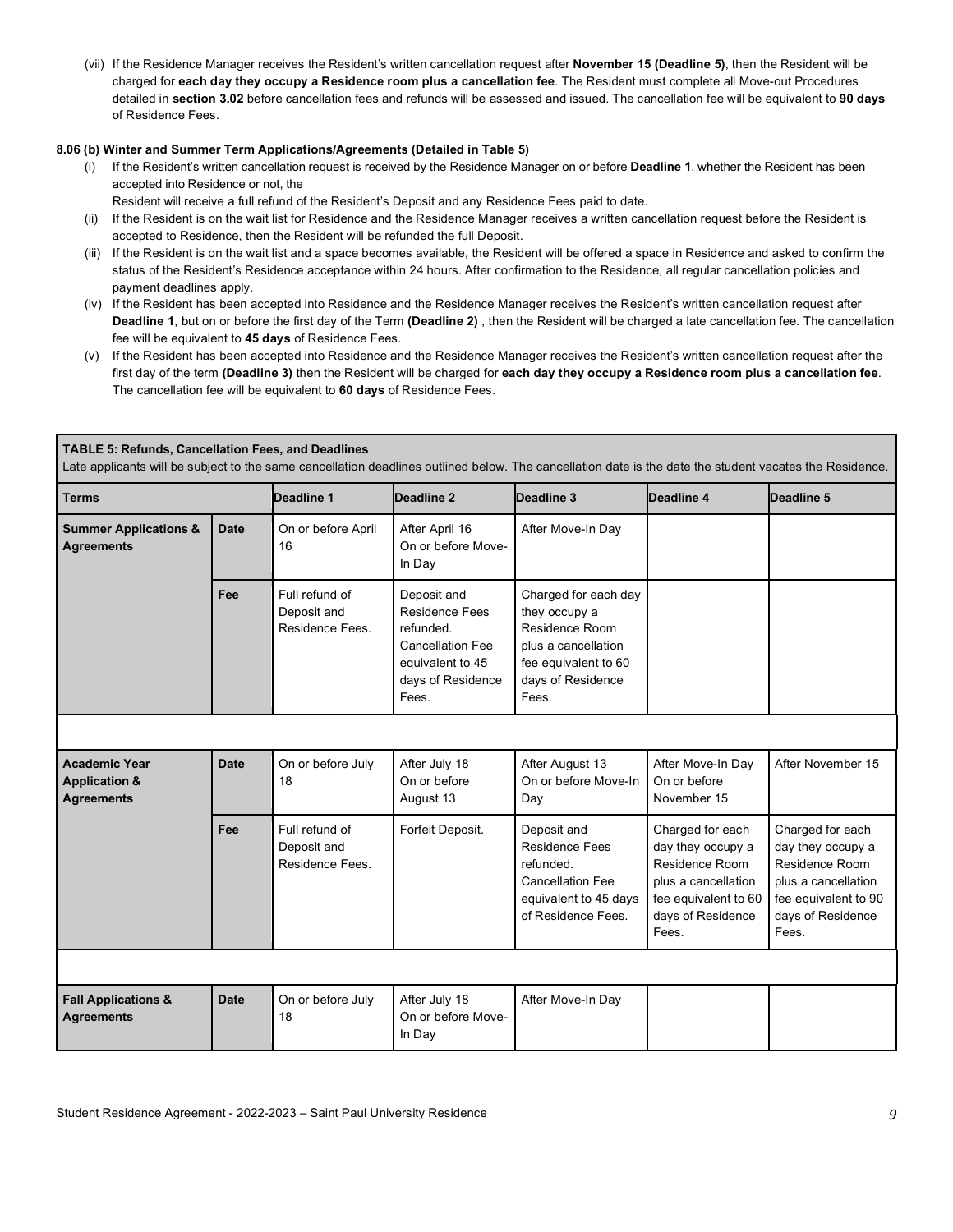(vii) If the Residence Manager receives the Resident's written cancellation request after **November 15 (Deadline 5)**, then the Resident will be charged for **each day they occupy a Residence room plus a cancellation fee**. The Resident must complete all Move-out Procedures detailed in **section 3.02** before cancellation fees and refunds will be assessed and issued. The cancellation fee will be equivalent to **90 days**  of Residence Fees.

#### **8.06 (b) Winter and Summer Term Applications/Agreements (Detailed in Table 5)**

- (i) If the Resident's written cancellation request is received by the Residence Manager on or before **Deadline 1**, whether the Resident has been accepted into Residence or not, the
	- Resident will receive a full refund of the Resident's Deposit and any Residence Fees paid to date.
- (ii) If the Resident is on the wait list for Residence and the Residence Manager receives a written cancellation request before the Resident is accepted to Residence, then the Resident will be refunded the full Deposit.
- (iii) If the Resident is on the wait list and a space becomes available, the Resident will be offered a space in Residence and asked to confirm the status of the Resident's Residence acceptance within 24 hours. After confirmation to the Residence, all regular cancellation policies and payment deadlines apply.
- (iv) If the Resident has been accepted into Residence and the Residence Manager receives the Resident's written cancellation request after **Deadline 1**, but on or before the first day of the Term **(Deadline 2)** , then the Resident will be charged a late cancellation fee. The cancellation fee will be equivalent to **45 days** of Residence Fees.
- (v) If the Resident has been accepted into Residence and the Residence Manager receives the Resident's written cancellation request after the The cancellation fee will be equivalent to **60 days** of Residence Fees. first day of the term **(Deadline 3)** then the Resident will be charged for **each day they occupy a Residence room plus a cancellation fee**.

| <b>TABLE 5: Refunds, Cancellation Fees, and Deadlines</b><br>Late applicants will be subject to the same cancellation deadlines outlined below. The cancellation date is the date the student vacates the Residence. |             |                                                  |                                                                                                                                |                                                                                                                                      |                                                                                                                                      |                                                                                                                                      |
|----------------------------------------------------------------------------------------------------------------------------------------------------------------------------------------------------------------------|-------------|--------------------------------------------------|--------------------------------------------------------------------------------------------------------------------------------|--------------------------------------------------------------------------------------------------------------------------------------|--------------------------------------------------------------------------------------------------------------------------------------|--------------------------------------------------------------------------------------------------------------------------------------|
| <b>Terms</b>                                                                                                                                                                                                         |             | Deadline 1                                       | Deadline 2                                                                                                                     | Deadline 3                                                                                                                           | Deadline 4                                                                                                                           | Deadline 5                                                                                                                           |
| <b>Summer Applications &amp;</b><br><b>Agreements</b>                                                                                                                                                                | <b>Date</b> | On or before April<br>16                         | After April 16<br>On or before Move-<br>In Day                                                                                 | After Move-In Day                                                                                                                    |                                                                                                                                      |                                                                                                                                      |
|                                                                                                                                                                                                                      | Fee         | Full refund of<br>Deposit and<br>Residence Fees. | Deposit and<br><b>Residence Fees</b><br>refunded.<br><b>Cancellation Fee</b><br>equivalent to 45<br>days of Residence<br>Fees. | Charged for each day<br>they occupy a<br>Residence Room<br>plus a cancellation<br>fee equivalent to 60<br>days of Residence<br>Fees. |                                                                                                                                      |                                                                                                                                      |
|                                                                                                                                                                                                                      |             |                                                  |                                                                                                                                |                                                                                                                                      |                                                                                                                                      |                                                                                                                                      |
| <b>Academic Year</b><br><b>Application &amp;</b><br><b>Agreements</b>                                                                                                                                                | <b>Date</b> | On or before July<br>18                          | After July 18<br>On or before<br>August 13                                                                                     | After August 13<br>On or before Move-In<br>Day                                                                                       | After Move-In Day<br>On or before<br>November 15                                                                                     | After November 15                                                                                                                    |
|                                                                                                                                                                                                                      | Fee         | Full refund of<br>Deposit and<br>Residence Fees. | Forfeit Deposit.                                                                                                               | Deposit and<br><b>Residence Fees</b><br>refunded.<br><b>Cancellation Fee</b><br>equivalent to 45 days<br>of Residence Fees.          | Charged for each<br>day they occupy a<br>Residence Room<br>plus a cancellation<br>fee equivalent to 60<br>days of Residence<br>Fees. | Charged for each<br>day they occupy a<br>Residence Room<br>plus a cancellation<br>fee equivalent to 90<br>days of Residence<br>Fees. |
|                                                                                                                                                                                                                      |             |                                                  |                                                                                                                                |                                                                                                                                      |                                                                                                                                      |                                                                                                                                      |
| <b>Fall Applications &amp;</b><br><b>Agreements</b>                                                                                                                                                                  | <b>Date</b> | On or before July<br>18                          | After July 18<br>On or before Move-<br>In Day                                                                                  | After Move-In Day                                                                                                                    |                                                                                                                                      |                                                                                                                                      |